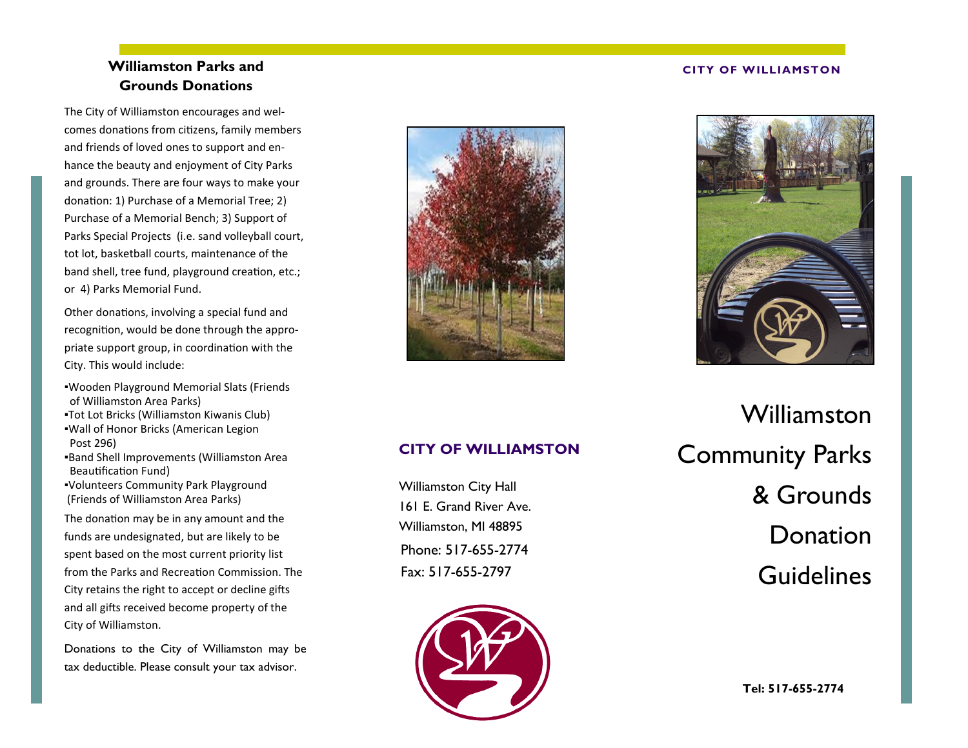# **Williamston Parks and Grounds Donations**

The City of Williamston encourages and welcomes donations from citizens, family members and friends of loved ones to support and enhance the beauty and enjoyment of City Parks and grounds. There are four ways to make your donation: 1) Purchase of a Memorial Tree; 2) Purchase of a Memorial Bench; 3) Support of Parks Special Projects (i.e. sand volleyball court, tot lot, basketball courts, maintenance of the band shell, tree fund, playground creation, etc.; or 4) Parks Memorial Fund.

Other donations, involving a special fund and recognition, would be done through the appropriate support group, in coordination with the City. This would include:

- ▪Wooden Playground Memorial Slats (Friends of Williamston Area Parks)
- ▪Tot Lot Bricks (Williamston Kiwanis Club) ▪Wall of Honor Bricks (American Legion
- Post 296) ▪Band Shell Improvements (Williamston Area Beautification Fund)
- ▪Volunteers Community Park Playground (Friends of Williamston Area Parks)

The donation may be in any amount and the funds are undesignated, but are likely to be spent based on the most current priority list from the Parks and Recreation Commission. The City retains the right to accept or decline gifts and all gifts received become property of the City of Williamston.

Donations to the City of Williamston may be tax deductible. Please consult your tax advisor.



#### **CITY OF WILLIAMSTON**



### **CITY OF WILLIAMSTON**

Phone: 517-655-2774 Fax: 517-655-2797 Williamston City Hall 161 E. Grand River Ave. Williamston, MI 48895



Williamston Community Parks & Grounds Donation **Guidelines**